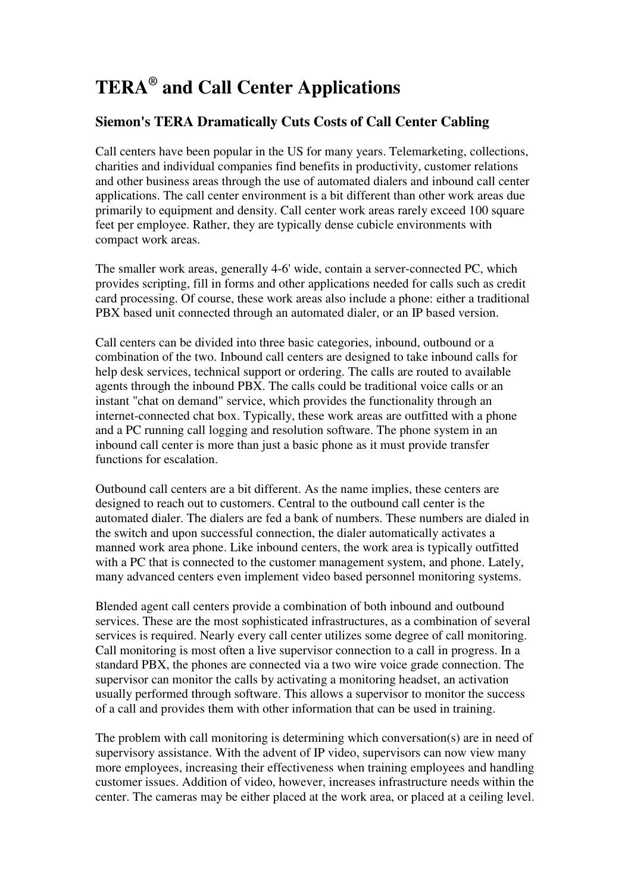## **TERA® and Call Center Applications**

## **Siemon's TERA Dramatically Cuts Costs of Call Center Cabling**

Call centers have been popular in the US for many years. Telemarketing, collections, charities and individual companies find benefits in productivity, customer relations and other business areas through the use of automated dialers and inbound call center applications. The call center environment is a bit different than other work areas due primarily to equipment and density. Call center work areas rarely exceed 100 square feet per employee. Rather, they are typically dense cubicle environments with compact work areas.

The smaller work areas, generally 4-6' wide, contain a server-connected PC, which provides scripting, fill in forms and other applications needed for calls such as credit card processing. Of course, these work areas also include a phone: either a traditional PBX based unit connected through an automated dialer, or an IP based version.

Call centers can be divided into three basic categories, inbound, outbound or a combination of the two. Inbound call centers are designed to take inbound calls for help desk services, technical support or ordering. The calls are routed to available agents through the inbound PBX. The calls could be traditional voice calls or an instant "chat on demand" service, which provides the functionality through an internet-connected chat box. Typically, these work areas are outfitted with a phone and a PC running call logging and resolution software. The phone system in an inbound call center is more than just a basic phone as it must provide transfer functions for escalation.

Outbound call centers are a bit different. As the name implies, these centers are designed to reach out to customers. Central to the outbound call center is the automated dialer. The dialers are fed a bank of numbers. These numbers are dialed in the switch and upon successful connection, the dialer automatically activates a manned work area phone. Like inbound centers, the work area is typically outfitted with a PC that is connected to the customer management system, and phone. Lately, many advanced centers even implement video based personnel monitoring systems.

Blended agent call centers provide a combination of both inbound and outbound services. These are the most sophisticated infrastructures, as a combination of several services is required. Nearly every call center utilizes some degree of call monitoring. Call monitoring is most often a live supervisor connection to a call in progress. In a standard PBX, the phones are connected via a two wire voice grade connection. The supervisor can monitor the calls by activating a monitoring headset, an activation usually performed through software. This allows a supervisor to monitor the success of a call and provides them with other information that can be used in training.

The problem with call monitoring is determining which conversation(s) are in need of supervisory assistance. With the advent of IP video, supervisors can now view many more employees, increasing their effectiveness when training employees and handling customer issues. Addition of video, however, increases infrastructure needs within the center. The cameras may be either placed at the work area, or placed at a ceiling level.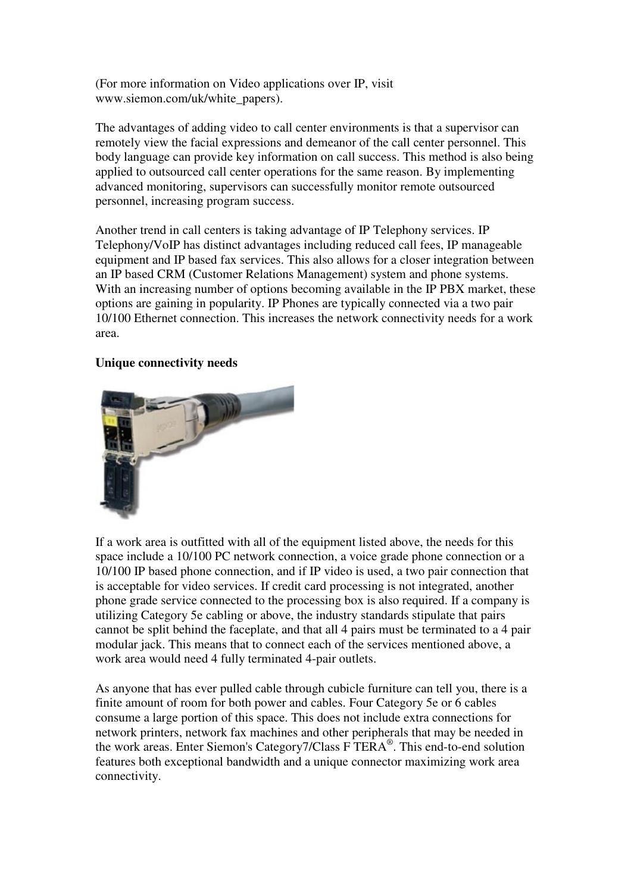(For more information on Video applications over IP, visit www.siemon.com/uk/white\_papers).

The advantages of adding video to call center environments is that a supervisor can remotely view the facial expressions and demeanor of the call center personnel. This body language can provide key information on call success. This method is also being applied to outsourced call center operations for the same reason. By implementing advanced monitoring, supervisors can successfully monitor remote outsourced personnel, increasing program success.

Another trend in call centers is taking advantage of IP Telephony services. IP Telephony/VoIP has distinct advantages including reduced call fees, IP manageable equipment and IP based fax services. This also allows for a closer integration between an IP based CRM (Customer Relations Management) system and phone systems. With an increasing number of options becoming available in the IP PBX market, these options are gaining in popularity. IP Phones are typically connected via a two pair 10/100 Ethernet connection. This increases the network connectivity needs for a work area.

## **Unique connectivity needs**



If a work area is outfitted with all of the equipment listed above, the needs for this space include a 10/100 PC network connection, a voice grade phone connection or a 10/100 IP based phone connection, and if IP video is used, a two pair connection that is acceptable for video services. If credit card processing is not integrated, another phone grade service connected to the processing box is also required. If a company is utilizing Category 5e cabling or above, the industry standards stipulate that pairs cannot be split behind the faceplate, and that all 4 pairs must be terminated to a 4 pair modular jack. This means that to connect each of the services mentioned above, a work area would need 4 fully terminated 4-pair outlets.

As anyone that has ever pulled cable through cubicle furniture can tell you, there is a finite amount of room for both power and cables. Four Category 5e or 6 cables consume a large portion of this space. This does not include extra connections for network printers, network fax machines and other peripherals that may be needed in the work areas. Enter Siemon's Category7/Class F TERA® . This end-to-end solution features both exceptional bandwidth and a unique connector maximizing work area connectivity.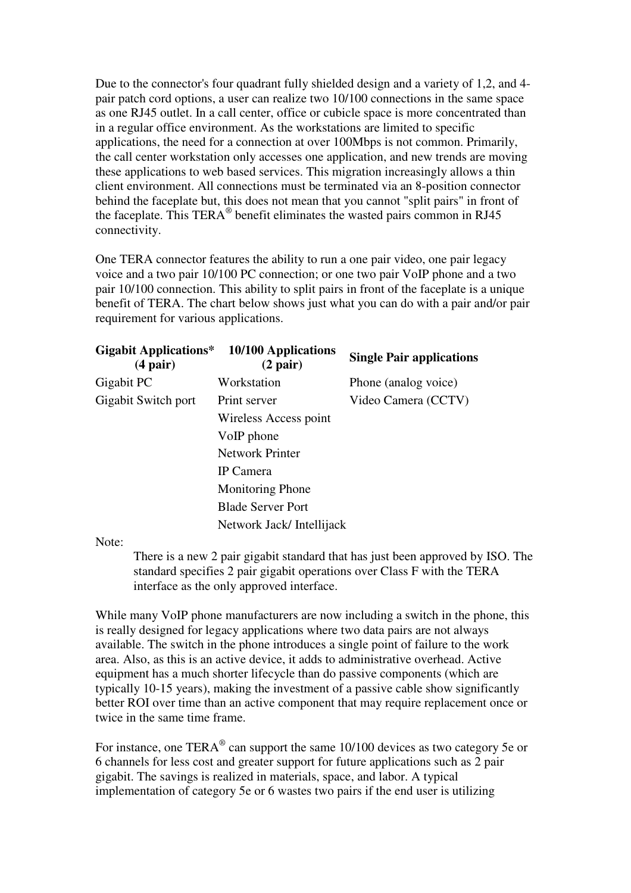Due to the connector's four quadrant fully shielded design and a variety of 1,2, and 4 pair patch cord options, a user can realize two 10/100 connections in the same space as one RJ45 outlet. In a call center, office or cubicle space is more concentrated than in a regular office environment. As the workstations are limited to specific applications, the need for a connection at over 100Mbps is not common. Primarily, the call center workstation only accesses one application, and new trends are moving these applications to web based services. This migration increasingly allows a thin client environment. All connections must be terminated via an 8-position connector behind the faceplate but, this does not mean that you cannot "split pairs" in front of the faceplate. This TERA<sup>®</sup> benefit eliminates the wasted pairs common in RJ45 connectivity.

One TERA connector features the ability to run a one pair video, one pair legacy voice and a two pair 10/100 PC connection; or one two pair VoIP phone and a two pair 10/100 connection. This ability to split pairs in front of the faceplate is a unique benefit of TERA. The chart below shows just what you can do with a pair and/or pair requirement for various applications.

| <b>Gigabit Applications*</b><br>$(4\,\text{pair})$ | 10/100 Applications<br>$(2\,\text{pair})$ | <b>Single Pair applications</b> |
|----------------------------------------------------|-------------------------------------------|---------------------------------|
| Gigabit PC                                         | Workstation                               | Phone (analog voice)            |
| Gigabit Switch port                                | Print server                              | Video Camera (CCTV)             |
|                                                    | Wireless Access point                     |                                 |
|                                                    | VoIP phone                                |                                 |
|                                                    | <b>Network Printer</b>                    |                                 |
|                                                    | IP Camera                                 |                                 |
|                                                    | <b>Monitoring Phone</b>                   |                                 |
|                                                    | <b>Blade Server Port</b>                  |                                 |
|                                                    | Network Jack/Intellijack                  |                                 |

Note:

There is a new 2 pair gigabit standard that has just been approved by ISO. The standard specifies 2 pair gigabit operations over Class F with the TERA interface as the only approved interface.

While many VoIP phone manufacturers are now including a switch in the phone, this is really designed for legacy applications where two data pairs are not always available. The switch in the phone introduces a single point of failure to the work area. Also, as this is an active device, it adds to administrative overhead. Active equipment has a much shorter lifecycle than do passive components (which are typically 10-15 years), making the investment of a passive cable show significantly better ROI over time than an active component that may require replacement once or twice in the same time frame.

For instance, one TERA $^{\circ}$  can support the same 10/100 devices as two category 5e or 6 channels for less cost and greater support for future applications such as 2 pair gigabit. The savings is realized in materials, space, and labor. A typical implementation of category 5e or 6 wastes two pairs if the end user is utilizing